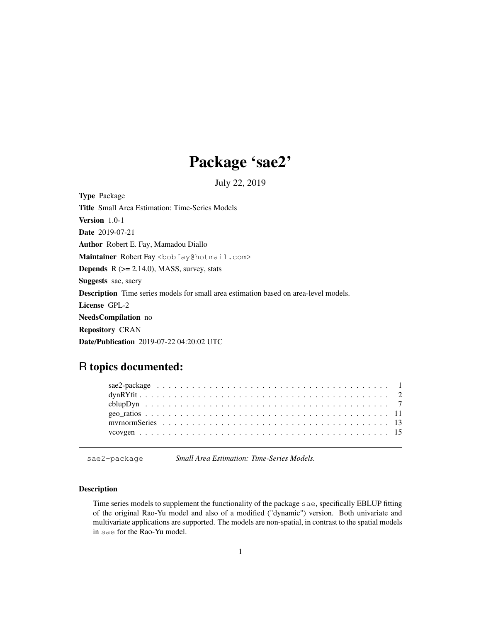# Package 'sae2'

July 22, 2019

Type Package Title Small Area Estimation: Time-Series Models Version 1.0-1 Date 2019-07-21 Author Robert E. Fay, Mamadou Diallo Maintainer Robert Fay <bobfay@hotmail.com> **Depends**  $R$  ( $>= 2.14.0$ ), MASS, survey, stats Suggests sae, saery Description Time series models for small area estimation based on area-level models. License GPL-2 NeedsCompilation no Repository CRAN Date/Publication 2019-07-22 04:20:02 UTC

# R topics documented:

sae2-package *Small Area Estimation: Time-Series Models.*

# Description

Time series models to supplement the functionality of the package sae, specifically EBLUP fitting of the original Rao-Yu model and also of a modified ("dynamic") version. Both univariate and multivariate applications are supported. The models are non-spatial, in contrast to the spatial models in sae for the Rao-Yu model.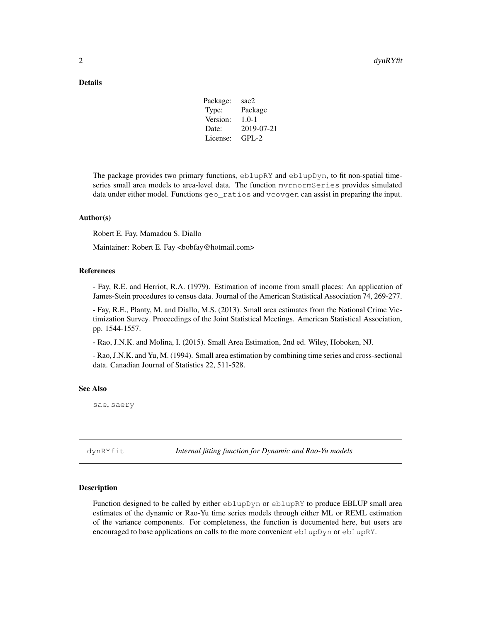| Package: | sae2       |
|----------|------------|
| Type:    | Package    |
| Version: | $1.0 - 1$  |
| Date:    | 2019-07-21 |
| License: | $GPL-2$    |
|          |            |

The package provides two primary functions,  $\in$ blupRY and  $\in$ blupDyn, to fit non-spatial timeseries small area models to area-level data. The function mvrnormSeries provides simulated data under either model. Functions geo\_ratios and vcovgen can assist in preparing the input.

#### Author(s)

Robert E. Fay, Mamadou S. Diallo

Maintainer: Robert E. Fay <bobfay@hotmail.com>

#### References

- Fay, R.E. and Herriot, R.A. (1979). Estimation of income from small places: An application of James-Stein procedures to census data. Journal of the American Statistical Association 74, 269-277.

- Fay, R.E., Planty, M. and Diallo, M.S. (2013). Small area estimates from the National Crime Victimization Survey. Proceedings of the Joint Statistical Meetings. American Statistical Association, pp. 1544-1557.

- Rao, J.N.K. and Molina, I. (2015). Small Area Estimation, 2nd ed. Wiley, Hoboken, NJ.

- Rao, J.N.K. and Yu, M. (1994). Small area estimation by combining time series and cross-sectional data. Canadian Journal of Statistics 22, 511-528.

## See Also

sae, saery

dynRYfit *Internal fitting function for Dynamic and Rao-Yu models*

# **Description**

Function designed to be called by either eblupDyn or eblupRY to produce EBLUP small area estimates of the dynamic or Rao-Yu time series models through either ML or REML estimation of the variance components. For completeness, the function is documented here, but users are encouraged to base applications on calls to the more convenient eblupDyn or eblupRY.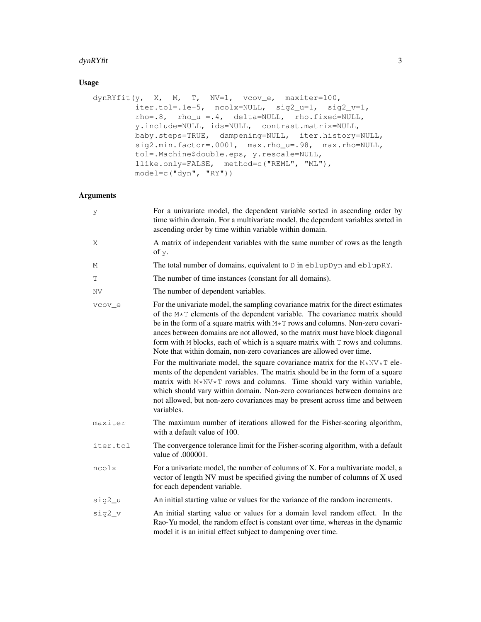#### dynRYfit 3

# Usage

```
dynRYfit(y, X, M, T, NV=1, vcov_e, maxiter=100,
        iter.tol=.1e-5, ncolx=NULL, sig2_u=1, sig2_v=1,
        rho=.8, rho_u =.4, delta=NULL, rho.fixed=NULL,
        y.include=NULL, ids=NULL, contrast.matrix=NULL,
        baby.steps=TRUE, dampening=NULL, iter.history=NULL,
        sig2.min.factor=.0001, max.rho_u=.98, max.rho=NULL,
        tol=.Machine$double.eps, y.rescale=NULL,
        llike.only=FALSE, method=c("REML", "ML"),
        model=c("dyn", "RY"))
```

| У         | For a univariate model, the dependent variable sorted in ascending order by<br>time within domain. For a multivariate model, the dependent variables sorted in<br>ascending order by time within variable within domain.                                                                                                                                                                                                                                                                                                                                                                                                                                                                                                                                                                                                                                                                                                                   |
|-----------|--------------------------------------------------------------------------------------------------------------------------------------------------------------------------------------------------------------------------------------------------------------------------------------------------------------------------------------------------------------------------------------------------------------------------------------------------------------------------------------------------------------------------------------------------------------------------------------------------------------------------------------------------------------------------------------------------------------------------------------------------------------------------------------------------------------------------------------------------------------------------------------------------------------------------------------------|
| Χ         | A matrix of independent variables with the same number of rows as the length<br>of y.                                                                                                                                                                                                                                                                                                                                                                                                                                                                                                                                                                                                                                                                                                                                                                                                                                                      |
| М         | The total number of domains, equivalent to D in eblupDyn and eblupRY.                                                                                                                                                                                                                                                                                                                                                                                                                                                                                                                                                                                                                                                                                                                                                                                                                                                                      |
| Т         | The number of time instances (constant for all domains).                                                                                                                                                                                                                                                                                                                                                                                                                                                                                                                                                                                                                                                                                                                                                                                                                                                                                   |
| <b>NV</b> | The number of dependent variables.                                                                                                                                                                                                                                                                                                                                                                                                                                                                                                                                                                                                                                                                                                                                                                                                                                                                                                         |
| vcov e    | For the univariate model, the sampling covariance matrix for the direct estimates<br>of the $M \star T$ elements of the dependent variable. The covariance matrix should<br>be in the form of a square matrix with $M \star T$ rows and columns. Non-zero covari-<br>ances between domains are not allowed, so the matrix must have block diagonal<br>form with $M$ blocks, each of which is a square matrix with $T$ rows and columns.<br>Note that within domain, non-zero covariances are allowed over time.<br>For the multivariate model, the square covariance matrix for the $M*NV*T$ ele-<br>ments of the dependent variables. The matrix should be in the form of a square<br>matrix with $M*NV*T$ rows and columns. Time should vary within variable,<br>which should vary within domain. Non-zero covariances between domains are<br>not allowed, but non-zero covariances may be present across time and between<br>variables. |
| maxiter   | The maximum number of iterations allowed for the Fisher-scoring algorithm,<br>with a default value of 100.                                                                                                                                                                                                                                                                                                                                                                                                                                                                                                                                                                                                                                                                                                                                                                                                                                 |
| iter.tol  | The convergence tolerance limit for the Fisher-scoring algorithm, with a default<br>value of 0.00001.                                                                                                                                                                                                                                                                                                                                                                                                                                                                                                                                                                                                                                                                                                                                                                                                                                      |
| ncolx     | For a univariate model, the number of columns of X. For a multivariate model, a<br>vector of length NV must be specified giving the number of columns of X used<br>for each dependent variable.                                                                                                                                                                                                                                                                                                                                                                                                                                                                                                                                                                                                                                                                                                                                            |
| sig2_u    | An initial starting value or values for the variance of the random increments.                                                                                                                                                                                                                                                                                                                                                                                                                                                                                                                                                                                                                                                                                                                                                                                                                                                             |
| sig2_v    | An initial starting value or values for a domain level random effect. In the<br>Rao-Yu model, the random effect is constant over time, whereas in the dynamic<br>model it is an initial effect subject to dampening over time.                                                                                                                                                                                                                                                                                                                                                                                                                                                                                                                                                                                                                                                                                                             |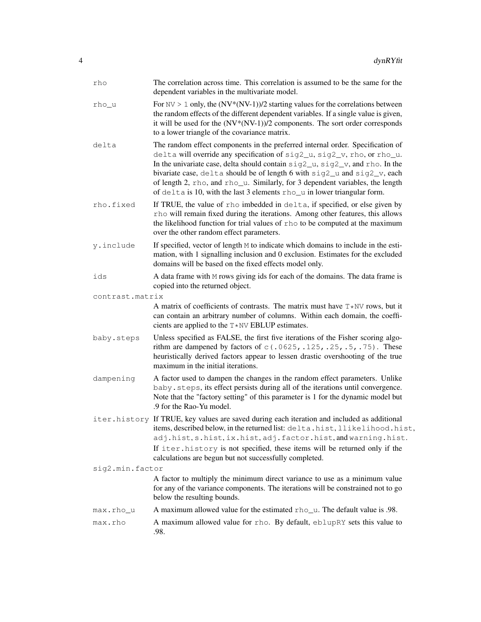| rho             | The correlation across time. This correlation is assumed to be the same for the<br>dependent variables in the multivariate model.                                                                                                                                                                                                                                                                                                                                                        |
|-----------------|------------------------------------------------------------------------------------------------------------------------------------------------------------------------------------------------------------------------------------------------------------------------------------------------------------------------------------------------------------------------------------------------------------------------------------------------------------------------------------------|
| rho_u           | For $\text{NV} > 1$ only, the $(\text{NV}^*(\text{NV-1}))/2$ starting values for the correlations between<br>the random effects of the different dependent variables. If a single value is given,<br>it will be used for the $(NV*(NV-1))/2$ components. The sort order corresponds<br>to a lower triangle of the covariance matrix.                                                                                                                                                     |
| delta           | The random effect components in the preferred internal order. Specification of<br>delta will override any specification of sig2_u, sig2_v, rho, or rho_u.<br>In the univariate case, delta should contain $sig2_u$ , $sig2_v$ , and rho. In the<br>bivariate case, delta should be of length 6 with sig2_u and sig2_v, each<br>of length 2, rho, and rho_u. Similarly, for 3 dependent variables, the length<br>of delta is 10, with the last 3 elements rho_u in lower triangular form. |
| rho.fixed       | If TRUE, the value of rho imbedded in delta, if specified, or else given by<br>rho will remain fixed during the iterations. Among other features, this allows<br>the likelihood function for trial values of rho to be computed at the maximum<br>over the other random effect parameters.                                                                                                                                                                                               |
| y.include       | If specified, vector of length M to indicate which domains to include in the esti-<br>mation, with 1 signalling inclusion and 0 exclusion. Estimates for the excluded<br>domains will be based on the fixed effects model only.                                                                                                                                                                                                                                                          |
| ids             | A data frame with M rows giving ids for each of the domains. The data frame is<br>copied into the returned object.                                                                                                                                                                                                                                                                                                                                                                       |
| contrast.matrix |                                                                                                                                                                                                                                                                                                                                                                                                                                                                                          |
|                 | A matrix of coefficients of contrasts. The matrix must have $T*NV$ rows, but it<br>can contain an arbitrary number of columns. Within each domain, the coeffi-<br>cients are applied to the $T*NV$ EBLUP estimates.                                                                                                                                                                                                                                                                      |
| baby.steps      | Unless specified as FALSE, the first five iterations of the Fisher scoring algo-<br>rithm are dampened by factors of $c(.0625,.125,.25,.5,.75)$ . These<br>heuristically derived factors appear to lessen drastic overshooting of the true<br>maximum in the initial iterations.                                                                                                                                                                                                         |
| dampening       | A factor used to dampen the changes in the random effect parameters. Unlike<br>baby.steps, its effect persists during all of the iterations until convergence.<br>Note that the "factory setting" of this parameter is 1 for the dynamic model but<br>.9 for the Rao-Yu model.                                                                                                                                                                                                           |
|                 | iter.history If TRUE, key values are saved during each iteration and included as additional<br>items, described below, in the returned list: delta.hist, llikelihood.hist,<br>adj.hist, s.hist, ix.hist, adj.factor.hist, and warning.hist.<br>If iter. history is not specified, these items will be returned only if the                                                                                                                                                               |
|                 | calculations are begun but not successfully completed.                                                                                                                                                                                                                                                                                                                                                                                                                                   |
| sig2.min.factor |                                                                                                                                                                                                                                                                                                                                                                                                                                                                                          |
|                 | A factor to multiply the minimum direct variance to use as a minimum value<br>for any of the variance components. The iterations will be constrained not to go<br>below the resulting bounds.                                                                                                                                                                                                                                                                                            |
| max.rho_u       | A maximum allowed value for the estimated rho_u. The default value is .98.                                                                                                                                                                                                                                                                                                                                                                                                               |
| max.rho         | A maximum allowed value for rho. By default, eblupRY sets this value to<br>.98.                                                                                                                                                                                                                                                                                                                                                                                                          |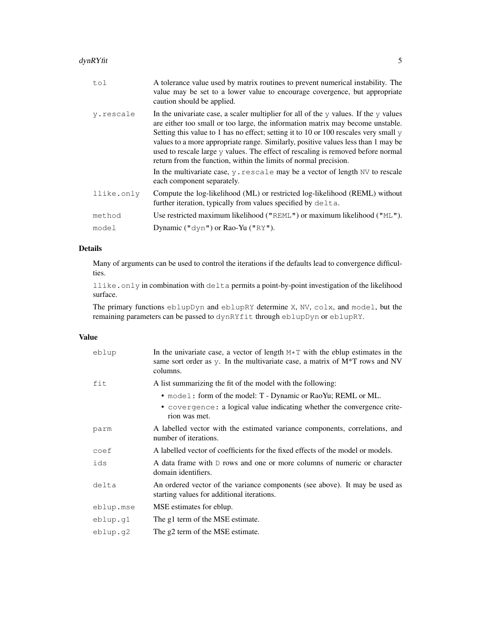| tol        | A tolerance value used by matrix routines to prevent numerical instability. The<br>value may be set to a lower value to encourage covergence, but appropriate<br>caution should be applied.                                                                                                                                                                                                                                                                                                                                                                                                                           |
|------------|-----------------------------------------------------------------------------------------------------------------------------------------------------------------------------------------------------------------------------------------------------------------------------------------------------------------------------------------------------------------------------------------------------------------------------------------------------------------------------------------------------------------------------------------------------------------------------------------------------------------------|
| y.rescale  | In the univariate case, a scaler multiplier for all of the $\gamma$ values. If the $\gamma$ values<br>are either too small or too large, the information matrix may become unstable.<br>Setting this value to 1 has no effect; setting it to 10 or 100 rescales very small $\gamma$<br>values to a more appropriate range. Similarly, positive values less than 1 may be<br>used to rescale large y values. The effect of rescaling is removed before normal<br>return from the function, within the limits of normal precision.<br>In the multivariate case, $y$ . rescale may be a vector of length $NV$ to rescale |
|            | each component separately.                                                                                                                                                                                                                                                                                                                                                                                                                                                                                                                                                                                            |
| llike.only | Compute the log-likelihood (ML) or restricted log-likelihood (REML) without<br>further iteration, typically from values specified by delta.                                                                                                                                                                                                                                                                                                                                                                                                                                                                           |
| method     | Use restricted maximum likelihood ("REML") or maximum likelihood ("ML").                                                                                                                                                                                                                                                                                                                                                                                                                                                                                                                                              |
| model      | Dynamic (" $\text{dyn}$ ") or Rao-Yu (" $\text{RY}$ ").                                                                                                                                                                                                                                                                                                                                                                                                                                                                                                                                                               |
|            |                                                                                                                                                                                                                                                                                                                                                                                                                                                                                                                                                                                                                       |

Many of arguments can be used to control the iterations if the defaults lead to convergence difficulties.

llike.only in combination with delta permits a point-by-point investigation of the likelihood surface.

The primary functions eblupDyn and eblupRY determine X, NV, colx, and model, but the remaining parameters can be passed to dynRYfit through eblupDyn or eblupRY.

# Value

| eblup     | In the univariate case, a vector of length $M*T$ with the eblup estimates in the<br>same sort order as $y$ . In the multivariate case, a matrix of $M^*T$ rows and NV<br>columns. |
|-----------|-----------------------------------------------------------------------------------------------------------------------------------------------------------------------------------|
| fit       | A list summarizing the fit of the model with the following:                                                                                                                       |
|           | • model: form of the model: T - Dynamic or RaoYu; REML or ML.<br>• covergence: a logical value indicating whether the convergence crite-<br>rion was met.                         |
| parm      | A labelled vector with the estimated variance components, correlations, and<br>number of iterations.                                                                              |
| coef      | A labelled vector of coefficients for the fixed effects of the model or models.                                                                                                   |
| ids       | A data frame with $D$ rows and one or more columns of numeric or character<br>domain identifiers.                                                                                 |
| delta     | An ordered vector of the variance components (see above). It may be used as<br>starting values for additional iterations.                                                         |
| eblup.mse | MSE estimates for eblup.                                                                                                                                                          |
| eblup.q1  | The g1 term of the MSE estimate.                                                                                                                                                  |
| eblup.q2  | The g2 term of the MSE estimate.                                                                                                                                                  |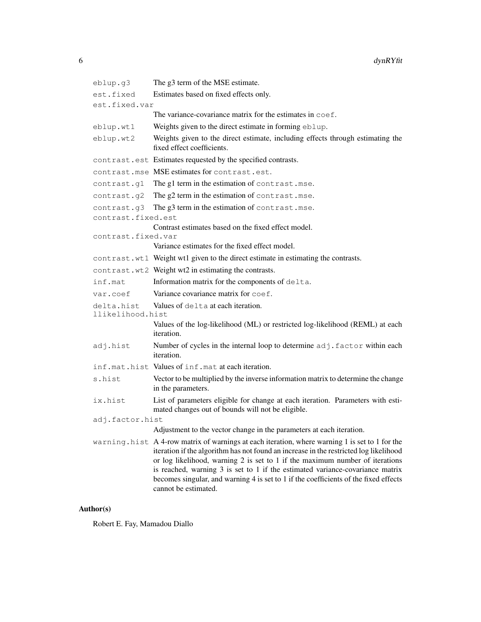```
eblup.g3 The g3 term of the MSE estimate.
est.fixed Estimates based on fixed effects only.
est.fixed.var
                 The variance-covariance matrix for the estimates in \text{coeff.}eblup.wt1 Weights given to the direct estimate in forming eblup.
eblup.wt2 Weights given to the direct estimate, including effects through estimating the
                 fixed effect coefficients.
contrast.est Estimates requested by the specified contrasts.
contrast.mse MSE estimates for contrast.est.
contrast.g1 The g1 term in the estimation of contrast.mse.
contrast.g2 The g2 term in the estimation of contrast.mse.
contrast.g3 The g3 term in the estimation of contrast.mse.
contrast.fixed.est
                 Contrast estimates based on the fixed effect model.
contrast.fixed.var
                 Variance estimates for the fixed effect model.
contrast.wt1 Weight wt1 given to the direct estimate in estimating the contrasts.
contrast.wt2 Weight wt2 in estimating the contrasts.
inf.mat Information matrix for the components of delta.
var.coef Variance covariance matrix for coef.
delta.hist Values of delta at each iteration.
llikelihood.hist
                 Values of the log-likelihood (ML) or restricted log-likelihood (REML) at each
                 iteration.
adj.hist Number of cycles in the internal loop to determine adj.factor within each
                 iteration.
inf.mat.hist Values of inf.mat at each iteration.
s.hist Vector to be multiplied by the inverse information matrix to determine the change
                 in the parameters.
ix.hist List of parameters eligible for change at each iteration. Parameters with esti-
                 mated changes out of bounds will not be eligible.
adj.factor.hist
                 Adjustment to the vector change in the parameters at each iteration.
warning.hist A 4-row matrix of warnings at each iteration, where warning 1 is set to 1 for the
                 iteration if the algorithm has not found an increase in the restricted log likelihood
                 or log likelihood, warning 2 is set to 1 if the maximum number of iterations
                 is reached, warning 3 is set to 1 if the estimated variance-covariance matrix
                 becomes singular, and warning 4 is set to 1 if the coefficients of the fixed effects
                 cannot be estimated.
```
# Author(s)

Robert E. Fay, Mamadou Diallo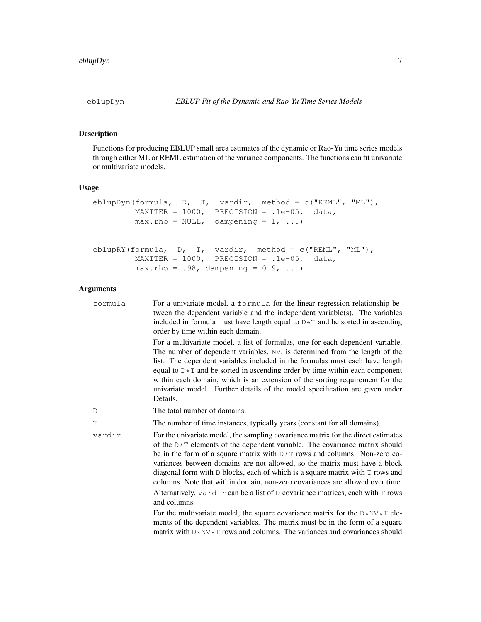# Description

Functions for producing EBLUP small area estimates of the dynamic or Rao-Yu time series models through either ML or REML estimation of the variance components. The functions can fit univariate or multivariate models.

# Usage

```
eblupDyn(formula, D, T, vardir, method = c("REML", "ML"),
        MAXITER = 1000, PRECISION = .1e-05, data,
        max.rho = NULL, dampening = 1, ...)
eblupRY(formula, D, T, vardir, method = c("REML", "ML"),
        MAXITER = 1000, PRECISION = .1e-05, data,
        max.rho = .98, dampening = 0.9, ...)
```

| formula | For a univariate model, a formula for the linear regression relationship be-<br>tween the dependent variable and the independent variable(s). The variables<br>included in formula must have length equal to $D \star T$ and be sorted in ascending<br>order by time within each domain.                                                                                                                                                                                                                                                                                                            |
|---------|-----------------------------------------------------------------------------------------------------------------------------------------------------------------------------------------------------------------------------------------------------------------------------------------------------------------------------------------------------------------------------------------------------------------------------------------------------------------------------------------------------------------------------------------------------------------------------------------------------|
|         | For a multivariate model, a list of formulas, one for each dependent variable.<br>The number of dependent variables, NV, is determined from the length of the<br>list. The dependent variables included in the formulas must each have length<br>equal to $D \star T$ and be sorted in ascending order by time within each component<br>within each domain, which is an extension of the sorting requirement for the<br>univariate model. Further details of the model specification are given under<br>Details.                                                                                    |
| D       | The total number of domains.                                                                                                                                                                                                                                                                                                                                                                                                                                                                                                                                                                        |
| T       | The number of time instances, typically years (constant for all domains).                                                                                                                                                                                                                                                                                                                                                                                                                                                                                                                           |
| vardir  | For the univariate model, the sampling covariance matrix for the direct estimates<br>of the $D \star T$ elements of the dependent variable. The covariance matrix should<br>be in the form of a square matrix with $D \star T$ rows and columns. Non-zero co-<br>variances between domains are not allowed, so the matrix must have a block<br>diagonal form with $D$ blocks, each of which is a square matrix with $T$ rows and<br>columns. Note that within domain, non-zero covariances are allowed over time.<br>Alternatively, vardir can be a list of D covariance matrices, each with T rows |
|         | and columns.                                                                                                                                                                                                                                                                                                                                                                                                                                                                                                                                                                                        |
|         | For the multivariate model, the square covariance matrix for the $D*NV*T$ ele-<br>ments of the dependent variables. The matrix must be in the form of a square<br>matrix with $D*NV*T$ rows and columns. The variances and covariances should                                                                                                                                                                                                                                                                                                                                                       |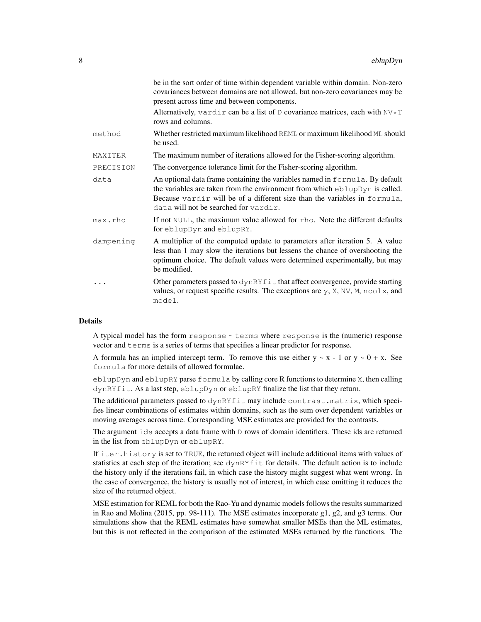|           | be in the sort order of time within dependent variable within domain. Non-zero<br>covariances between domains are not allowed, but non-zero covariances may be<br>present across time and between components.                                                                     |
|-----------|-----------------------------------------------------------------------------------------------------------------------------------------------------------------------------------------------------------------------------------------------------------------------------------|
|           | Alternatively, vardir can be a list of $D$ covariance matrices, each with $N V \star T$<br>rows and columns.                                                                                                                                                                      |
| method    | Whether restricted maximum likelihood REML or maximum likelihood ML should<br>be used.                                                                                                                                                                                            |
| MAXITER   | The maximum number of iterations allowed for the Fisher-scoring algorithm.                                                                                                                                                                                                        |
| PRECISION | The convergence tolerance limit for the Fisher-scoring algorithm.                                                                                                                                                                                                                 |
| data      | An optional data frame containing the variables named in formula. By default<br>the variables are taken from the environment from which eblupDyn is called.<br>Because vardir will be of a different size than the variables in formula,<br>data will not be searched for vardir. |
| max.rho   | If not NULL, the maximum value allowed for rho. Note the different defaults<br>for eblupDyn and eblupRY.                                                                                                                                                                          |
| dampening | A multiplier of the computed update to parameters after iteration 5. A value<br>less than 1 may slow the iterations but lessens the chance of overshooting the<br>optimum choice. The default values were determined experimentally, but may<br>be modified.                      |
|           | Other parameters passed to dynRYfit that affect convergence, provide starting<br>values, or request specific results. The exceptions are $y$ , $X$ , $NV$ , $M$ , $ncolx$ , and<br>model.                                                                                         |

A typical model has the form response ~ terms where response is the (numeric) response vector and terms is a series of terms that specifies a linear predictor for response.

A formula has an implied intercept term. To remove this use either  $y \sim x - 1$  or  $y \sim 0 + x$ . See formula for more details of allowed formulae.

eblupDyn and eblupRY parse formula by calling core R functions to determine X, then calling dynRYfit. As a last step, eblupDyn or eblupRY finalize the list that they return.

The additional parameters passed to dynRYfit may include contrast.matrix, which specifies linear combinations of estimates within domains, such as the sum over dependent variables or moving averages across time. Corresponding MSE estimates are provided for the contrasts.

The argument  $ids$  accepts a data frame with  $D$  rows of domain identifiers. These ids are returned in the list from eblupDyn or eblupRY.

If iter.history is set to TRUE, the returned object will include additional items with values of statistics at each step of the iteration; see dynRYfit for details. The default action is to include the history only if the iterations fail, in which case the history might suggest what went wrong. In the case of convergence, the history is usually not of interest, in which case omitting it reduces the size of the returned object.

MSE estimation for REML for both the Rao-Yu and dynamic models follows the results summarized in Rao and Molina (2015, pp. 98-111). The MSE estimates incorporate g1, g2, and g3 terms. Our simulations show that the REML estimates have somewhat smaller MSEs than the ML estimates, but this is not reflected in the comparison of the estimated MSEs returned by the functions. The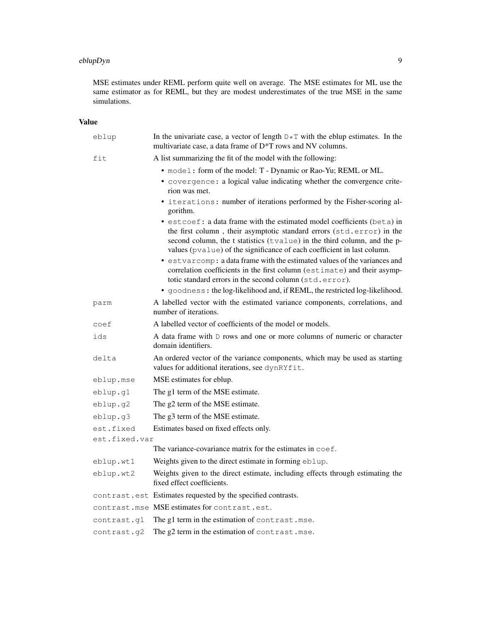#### eblupDyn 99

MSE estimates under REML perform quite well on average. The MSE estimates for ML use the same estimator as for REML, but they are modest underestimates of the true MSE in the same simulations.

# Value

| eblup         | In the univariate case, a vector of length $D \star T$ with the eblup estimates. In the<br>multivariate case, a data frame of D*T rows and NV columns.                                                                                                                                                                                                                                                                                                                                                                                                                                                     |
|---------------|------------------------------------------------------------------------------------------------------------------------------------------------------------------------------------------------------------------------------------------------------------------------------------------------------------------------------------------------------------------------------------------------------------------------------------------------------------------------------------------------------------------------------------------------------------------------------------------------------------|
| fit           | A list summarizing the fit of the model with the following:                                                                                                                                                                                                                                                                                                                                                                                                                                                                                                                                                |
|               | • model: form of the model: T - Dynamic or Rao-Yu; REML or ML.                                                                                                                                                                                                                                                                                                                                                                                                                                                                                                                                             |
|               | • covergence: a logical value indicating whether the convergence crite-<br>rion was met.                                                                                                                                                                                                                                                                                                                                                                                                                                                                                                                   |
|               | • iterations: number of iterations performed by the Fisher-scoring al-<br>gorithm.                                                                                                                                                                                                                                                                                                                                                                                                                                                                                                                         |
|               | • estcoef: a data frame with the estimated model coefficients (beta) in<br>the first column, their asymptotic standard errors (std.error) in the<br>second column, the t statistics (tvalue) in the third column, and the p-<br>values (pvalue) of the significance of each coefficient in last column.<br>• estvarcomp: a data frame with the estimated values of the variances and<br>correlation coefficients in the first column (estimate) and their asymp-<br>totic standard errors in the second column (std.error).<br>· goodness: the log-likelihood and, if REML, the restricted log-likelihood. |
|               |                                                                                                                                                                                                                                                                                                                                                                                                                                                                                                                                                                                                            |
| parm          | A labelled vector with the estimated variance components, correlations, and<br>number of iterations.                                                                                                                                                                                                                                                                                                                                                                                                                                                                                                       |
| coef          | A labelled vector of coefficients of the model or models.                                                                                                                                                                                                                                                                                                                                                                                                                                                                                                                                                  |
| ids           | A data frame with D rows and one or more columns of numeric or character<br>domain identifiers.                                                                                                                                                                                                                                                                                                                                                                                                                                                                                                            |
| delta         | An ordered vector of the variance components, which may be used as starting<br>values for additional iterations, see dynRYfit.                                                                                                                                                                                                                                                                                                                                                                                                                                                                             |
| eblup.mse     | MSE estimates for eblup.                                                                                                                                                                                                                                                                                                                                                                                                                                                                                                                                                                                   |
| eblup.q1      | The g1 term of the MSE estimate.                                                                                                                                                                                                                                                                                                                                                                                                                                                                                                                                                                           |
| eblup.g2      | The g2 term of the MSE estimate.                                                                                                                                                                                                                                                                                                                                                                                                                                                                                                                                                                           |
| eblup.g3      | The g3 term of the MSE estimate.                                                                                                                                                                                                                                                                                                                                                                                                                                                                                                                                                                           |
| est.fixed     | Estimates based on fixed effects only.                                                                                                                                                                                                                                                                                                                                                                                                                                                                                                                                                                     |
| est.fixed.var |                                                                                                                                                                                                                                                                                                                                                                                                                                                                                                                                                                                                            |
|               | The variance-covariance matrix for the estimates in coef.                                                                                                                                                                                                                                                                                                                                                                                                                                                                                                                                                  |
| eblup.wt1     | Weights given to the direct estimate in forming eblup.                                                                                                                                                                                                                                                                                                                                                                                                                                                                                                                                                     |
| eblup.wt2     | Weights given to the direct estimate, including effects through estimating the<br>fixed effect coefficients.                                                                                                                                                                                                                                                                                                                                                                                                                                                                                               |
|               | contrast.est Estimates requested by the specified contrasts.                                                                                                                                                                                                                                                                                                                                                                                                                                                                                                                                               |
|               | contrast.mse MSE estimates for contrast.est.                                                                                                                                                                                                                                                                                                                                                                                                                                                                                                                                                               |
| contrast.gl   | The g1 term in the estimation of contrast.mse.                                                                                                                                                                                                                                                                                                                                                                                                                                                                                                                                                             |
| contrast.g2   | The g2 term in the estimation of contrast.mse.                                                                                                                                                                                                                                                                                                                                                                                                                                                                                                                                                             |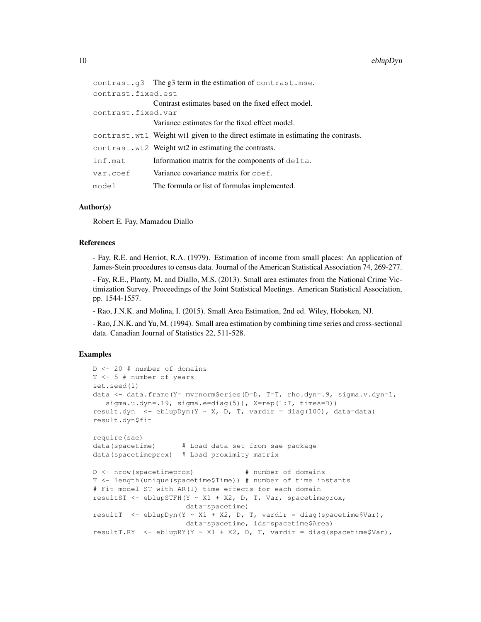|                    | contrast.g3 The g3 term in the estimation of contrast.mse.                        |
|--------------------|-----------------------------------------------------------------------------------|
| contrast.fixed.est |                                                                                   |
|                    | Contrast estimates based on the fixed effect model.                               |
| contrast.fixed.var |                                                                                   |
|                    | Variance estimates for the fixed effect model.                                    |
|                    | contrast.wt1 Weight wt1 given to the direct estimate in estimating the contrasts. |
|                    | contrast.wt2 Weight wt2 in estimating the contrasts.                              |
| inf.mat            | Information matrix for the components of $delta$ .                                |
| var.coef           | Variance covariance matrix for coef.                                              |
| model              | The formula or list of formulas implemented.                                      |

#### Author(s)

Robert E. Fay, Mamadou Diallo

#### References

- Fay, R.E. and Herriot, R.A. (1979). Estimation of income from small places: An application of James-Stein procedures to census data. Journal of the American Statistical Association 74, 269-277.

- Fay, R.E., Planty, M. and Diallo, M.S. (2013). Small area estimates from the National Crime Victimization Survey. Proceedings of the Joint Statistical Meetings. American Statistical Association, pp. 1544-1557.

- Rao, J.N.K. and Molina, I. (2015). Small Area Estimation, 2nd ed. Wiley, Hoboken, NJ.

- Rao, J.N.K. and Yu, M. (1994). Small area estimation by combining time series and cross-sectional data. Canadian Journal of Statistics 22, 511-528.

#### Examples

```
D <- 20 # number of domains
T <- 5 # number of years
set.seed(1)
data <- data.frame(Y= mvrnormSeries(D=D, T=T, rho.dyn=.9, sigma.v.dyn=1,
   sigma.u.dyn=.19, sigma.e=diag(5)), X=rep(1:T, times=D))
result.dyn <- eblupDyn(Y ~ X, D, T, vardir = diag(100), data=data)
result.dyn$fit
require(sae)
data(spacetime) # Load data set from sae package
data(spacetimeprox) # Load proximity matrix
D <- nrow(spacetimeprox) # number of domains
T <- length(unique(spacetime$Time)) # number of time instants
# Fit model ST with AR(1) time effects for each domain
resultST <- eblupSTFH(Y ~ X1 + X2, D, T, Var, spacetimeprox,
                     data=spacetime)
resultT <- eblupDyn(Y ~ X1 + X2, D, T, vardir = diag(spacetime$Var),
                     data=spacetime, ids=spacetime$Area)
resultT.RY \leq eblupRY(Y \sim X1 + X2, D, T, vardir = diag(spacetime$Var),
```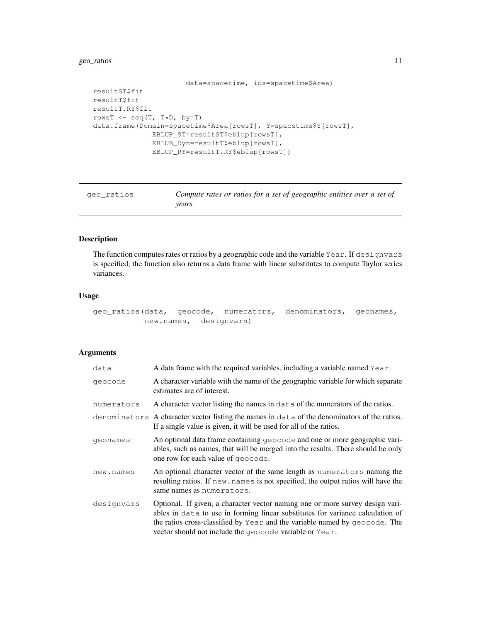# geo\_ratios 11

```
data=spacetime, ids=spacetime$Area)
resultST$fit
resultT$fit
resultT.RY$fit
rowsT <- seq(T, T*D, by=T)
data.frame(Domain=spacetime$Area[rowsT], Y=spacetime$Y[rowsT],
              EBLUP_ST=resultST$eblup[rowsT],
              EBLUB_Dyn=resultT$eblup[rowsT],
              EBLUP_RY=resultT.RY$eblup[rowsT])
```

| qeo ratios | Compute rates or ratios for a set of geographic entities over a set of |
|------------|------------------------------------------------------------------------|
|            | vears                                                                  |

# Description

The function computes rates or ratios by a geographic code and the variable Year. If designvars is specified, the function also returns a data frame with linear substitutes to compute Taylor series variances.

#### Usage

```
geo_ratios(data, geocode, numerators, denominators, geonames,
          new.names, designvars)
```

| data       | A data frame with the required variables, including a variable named Year.                                                                                                                                                                                                                               |
|------------|----------------------------------------------------------------------------------------------------------------------------------------------------------------------------------------------------------------------------------------------------------------------------------------------------------|
| geocode    | A character variable with the name of the geographic variable for which separate<br>estimates are of interest.                                                                                                                                                                                           |
| numerators | A character vector listing the names in data of the numerators of the ratios.                                                                                                                                                                                                                            |
|            | denominators A character vector listing the names in data of the denominators of the ratios.<br>If a single value is given, it will be used for all of the ratios.                                                                                                                                       |
| geonames   | An optional data frame containing geocode and one or more geographic vari-<br>ables, such as names, that will be merged into the results. There should be only<br>one row for each value of geocode.                                                                                                     |
| new.names  | An optional character vector of the same length as numerators naming the<br>resulting ratios. If new names is not specified, the output ratios will have the<br>same names as numerators.                                                                                                                |
| designvars | Optional. If given, a character vector naming one or more survey design vari-<br>ables in data to use in forming linear substitutes for variance calculation of<br>the ratios cross-classified by Year and the variable named by geocode. The<br>vector should not include the geocode variable or Year. |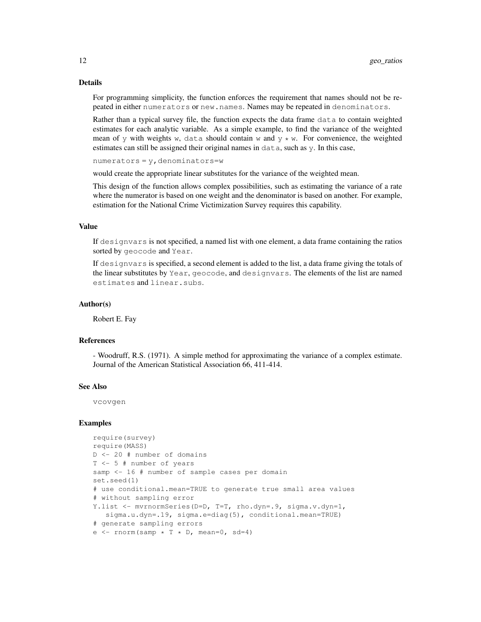For programming simplicity, the function enforces the requirement that names should not be repeated in either numerators or new.names. Names may be repeated in denominators.

Rather than a typical survey file, the function expects the data frame data to contain weighted estimates for each analytic variable. As a simple example, to find the variance of the weighted mean of y with weights w, data should contain w and  $y \star w$ . For convenience, the weighted estimates can still be assigned their original names in data, such as y. In this case,

 $numerators = y$ , denominators=w

would create the appropriate linear substitutes for the variance of the weighted mean.

This design of the function allows complex possibilities, such as estimating the variance of a rate where the numerator is based on one weight and the denominator is based on another. For example, estimation for the National Crime Victimization Survey requires this capability.

#### Value

If designvars is not specified, a named list with one element, a data frame containing the ratios sorted by geocode and Year.

If designvars is specified, a second element is added to the list, a data frame giving the totals of the linear substitutes by Year, geocode, and designvars. The elements of the list are named estimates and linear.subs.

#### Author(s)

Robert E. Fay

#### References

- Woodruff, R.S. (1971). A simple method for approximating the variance of a complex estimate. Journal of the American Statistical Association 66, 411-414.

# See Also

vcovgen

#### Examples

```
require(survey)
require(MASS)
D <- 20 # number of domains
T <- 5 # number of years
samp <- 16 # number of sample cases per domain
set.seed(1)
# use conditional.mean=TRUE to generate true small area values
# without sampling error
Y.list <- mvrnormSeries(D=D, T=T, rho.dyn=.9, sigma.v.dyn=1,
   sigma.u.dyn=.19, sigma.e=diag(5), conditional.mean=TRUE)
# generate sampling errors
e \leftarrow \text{rnorm}(\text{samp } \star \text{ T } \star \text{ D}, \text{mean=0}, \text{ sd=4})
```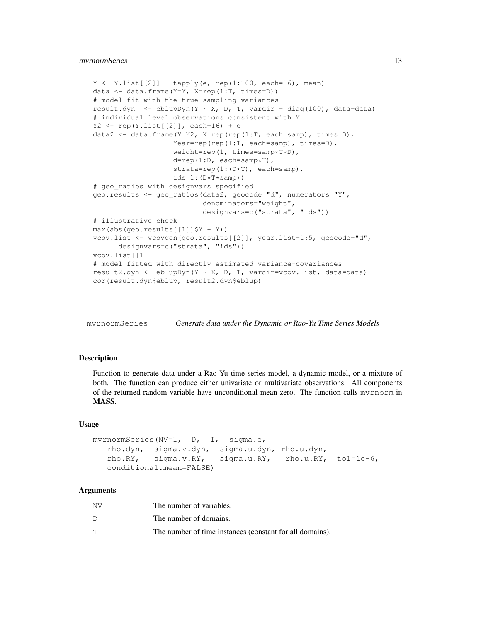# mvrnormSeries 13

```
Y \leftarrow Y.list[2]] + tapply(e, rep(1:100, each=16), mean)
data <- data.frame(Y=Y, X=rep(1:T, times=D))
# model fit with the true sampling variances
result.dyn <- eblupDyn(Y ~ X, D, T, vardir = diag(100), data=data)
# individual level observations consistent with Y
Y2 \leftarrow rep(Yulist[[2]], each=16) + edata2 <- data.frame(Y=Y2, X=rep(rep(1:T, each=samp), times=D),
                   Year=rep(rep(1:T, each=samp), times=D),
                   weight=rep(1, times=samp*T*D),
                   d=rep(1:D, each=samp*T),
                   strata=rep(1:(D*T), each=samp),
                   ids=1:(D*T*samp))# geo_ratios with designvars specified
geo.results <- geo_ratios(data2, geocode="d", numerators="Y",
                          denominators="weight",
                          designvars=c("strata", "ids"))
# illustrative check
max(abs(geo.results[[1]]$Y - Y))
vcov.list <- vcovgen(geo.results[[2]], year.list=1:5, geocode="d",
      designvars=c("strata", "ids"))
vcov.list[[1]]
# model fitted with directly estimated variance-covariances
result2.dyn <- eblupDyn(Y ~ X, D, T, vardir=vcov.list, data=data)
cor(result.dyn$eblup, result2.dyn$eblup)
```
mvrnormSeries *Generate data under the Dynamic or Rao-Yu Time Series Models*

#### Description

Function to generate data under a Rao-Yu time series model, a dynamic model, or a mixture of both. The function can produce either univariate or multivariate observations. All components of the returned random variable have unconditional mean zero. The function calls mvrnorm in MASS.

#### Usage

```
mvrnormSeries(NV=1, D, T, sigma.e,
  rho.dyn, sigma.v.dyn, sigma.u.dyn, rho.u.dyn,
  rho.RY, sigma.v.RY, sigma.u.RY, rho.u.RY, tol=1e-6,
  conditional.mean=FALSE)
```

| ΝV | The number of variables.                                 |
|----|----------------------------------------------------------|
|    | The number of domains.                                   |
| Т  | The number of time instances (constant for all domains). |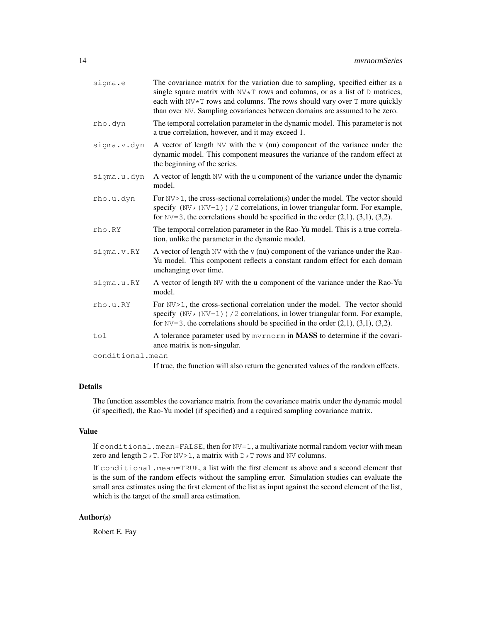| sigma.e          | The covariance matrix for the variation due to sampling, specified either as a<br>single square matrix with $N\vee\overline{r}$ rows and columns, or as a list of $D$ matrices,<br>each with NV*T rows and columns. The rows should vary over T more quickly<br>than over NV. Sampling covariances between domains are assumed to be zero. |
|------------------|--------------------------------------------------------------------------------------------------------------------------------------------------------------------------------------------------------------------------------------------------------------------------------------------------------------------------------------------|
| rho.dyn          | The temporal correlation parameter in the dynamic model. This parameter is not<br>a true correlation, however, and it may exceed 1.                                                                                                                                                                                                        |
| sigma.v.dyn      | A vector of length NV with the v (nu) component of the variance under the<br>dynamic model. This component measures the variance of the random effect at<br>the beginning of the series.                                                                                                                                                   |
| sigma.u.dyn      | A vector of length NV with the u component of the variance under the dynamic<br>model.                                                                                                                                                                                                                                                     |
| rho.u.dyn        | For $NV>1$ , the cross-sectional correlation(s) under the model. The vector should<br>specify $(NV * (NV-1))$ /2 correlations, in lower triangular form. For example,<br>for $NV=3$ , the correlations should be specified in the order $(2,1)$ , $(3,1)$ , $(3,2)$ .                                                                      |
| rho.RY           | The temporal correlation parameter in the Rao-Yu model. This is a true correla-<br>tion, unlike the parameter in the dynamic model.                                                                                                                                                                                                        |
| sigma.v.RY       | A vector of length NV with the v (nu) component of the variance under the Rao-<br>Yu model. This component reflects a constant random effect for each domain<br>unchanging over time.                                                                                                                                                      |
| sigma.u.RY       | A vector of length NV with the u component of the variance under the Rao-Yu<br>model.                                                                                                                                                                                                                                                      |
| rho.u.RY         | For NV>1, the cross-sectional correlation under the model. The vector should<br>specify $(NV * (NV-1))$ / 2 correlations, in lower triangular form. For example,<br>for $NV=3$ , the correlations should be specified in the order $(2,1)$ , $(3,1)$ , $(3,2)$ .                                                                           |
| tol              | A tolerance parameter used by mvrnorm in MASS to determine if the covari-<br>ance matrix is non-singular.                                                                                                                                                                                                                                  |
| conditional.mean |                                                                                                                                                                                                                                                                                                                                            |
|                  | $\mathbf{T} \mathbf{C}$ and $\mathbf{C}$ and $\mathbf{C}$ and $\mathbf{C}$ and $\mathbf{C}$ and $\mathbf{C}$ and $\mathbf{C}$ and $\mathbf{C}$ and $\mathbf{C}$ and $\mathbf{C}$ and $\mathbf{C}$ and $\mathbf{C}$ and $\mathbf{C}$                                                                                                        |

If true, the function will also return the generated values of the random effects.

# Details

The function assembles the covariance matrix from the covariance matrix under the dynamic model (if specified), the Rao-Yu model (if specified) and a required sampling covariance matrix.

# Value

If conditional.mean=FALSE, then for NV=1, a multivariate normal random vector with mean zero and length  $D*T$ . For  $NV>1$ , a matrix with  $D*T$  rows and NV columns.

If conditional.mean=TRUE, a list with the first element as above and a second element that is the sum of the random effects without the sampling error. Simulation studies can evaluate the small area estimates using the first element of the list as input against the second element of the list, which is the target of the small area estimation.

# Author(s)

Robert E. Fay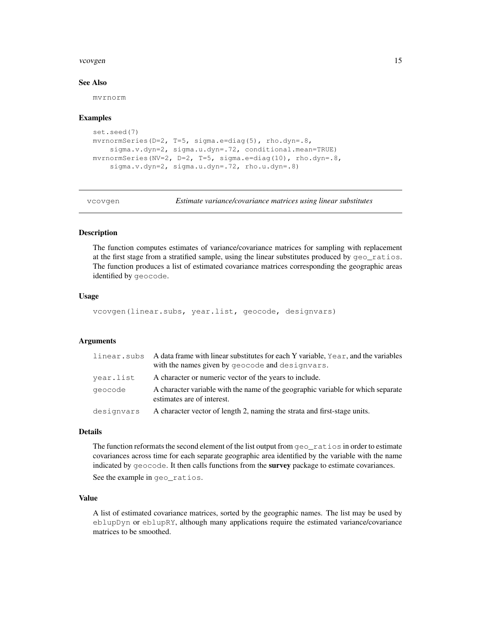#### vcovgen and the state of the state of the state of the state of the state of the state of the state of the state of the state of the state of the state of the state of the state of the state of the state of the state of th

# See Also

mvrnorm

#### Examples

```
set.seed(7)
mvrnormSeries(D=2, T=5, sigma.e=diag(5), rho.dyn=.8,
    sigma.v.dyn=2, sigma.u.dyn=.72, conditional.mean=TRUE)
mvrnormSeries(NV=2, D=2, T=5, sigma.e=diag(10), rho.dyn=.8,
    sigma.v.dyn=2, sigma.u.dyn=.72, rho.u.dyn=.8)
```
vcovgen *Estimate variance/covariance matrices using linear substitutes*

# Description

The function computes estimates of variance/covariance matrices for sampling with replacement at the first stage from a stratified sample, using the linear substitutes produced by geo\_ratios. The function produces a list of estimated covariance matrices corresponding the geographic areas identified by geocode.

#### Usage

```
vcovgen(linear.subs, year.list, geocode, designvars)
```
# Arguments

| linear.subs | A data frame with linear substitutes for each Y variable, $Year$ , and the variables                           |
|-------------|----------------------------------------------------------------------------------------------------------------|
|             | with the names given by geocode and designvars.                                                                |
| year.list   | A character or numeric vector of the years to include.                                                         |
| geocode     | A character variable with the name of the geographic variable for which separate<br>estimates are of interest. |
| designvars  | A character vector of length 2, naming the strata and first-stage units.                                       |

# Details

The function reformats the second element of the list output from  $q \neq 0$  ratios in order to estimate covariances across time for each separate geographic area identified by the variable with the name indicated by geocode. It then calls functions from the **survey** package to estimate covariances.

See the example in geo\_ratios.

#### Value

A list of estimated covariance matrices, sorted by the geographic names. The list may be used by eblupDyn or eblupRY, although many applications require the estimated variance/covariance matrices to be smoothed.